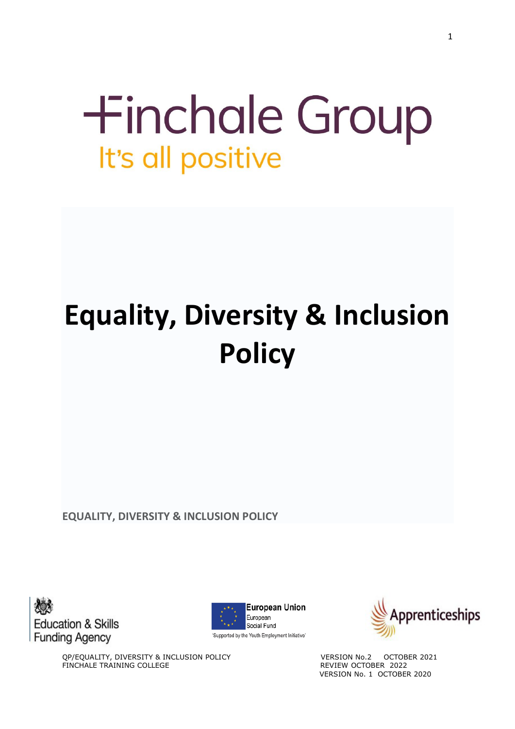# **+inchale Group** It's all positive

# **Equality, Diversity & Inclusion Policy**

**EQUALITY, DIVERSITY & INCLUSION POLICY**







QP/EQUALITY, DIVERSITY & INCLUSION POLICY VERSION No.2 OCTOBER 2021 FINCHALE TRAINING COLLEGE **REVIEW OCTOBER 2022** VERSION No. 1 OCTOBER 2020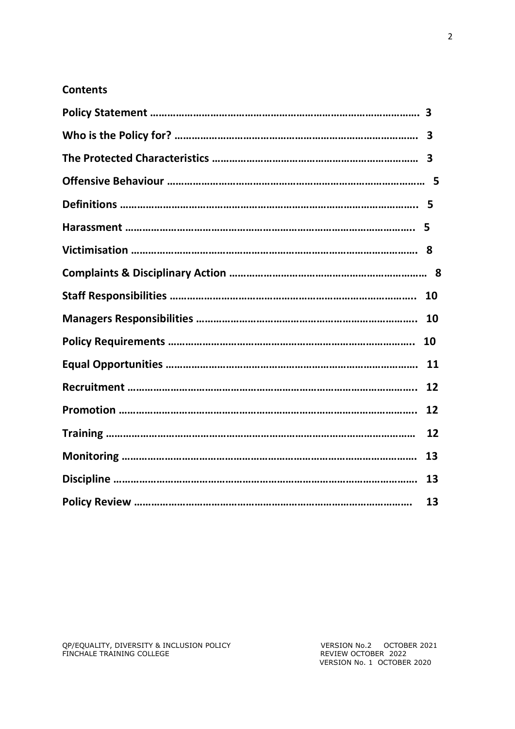# **Contents**

| 3  |
|----|
|    |
|    |
|    |
|    |
|    |
| 10 |
| 10 |
| 10 |
| 11 |
| 12 |
| 12 |
| 12 |
| 13 |
| 13 |
| 13 |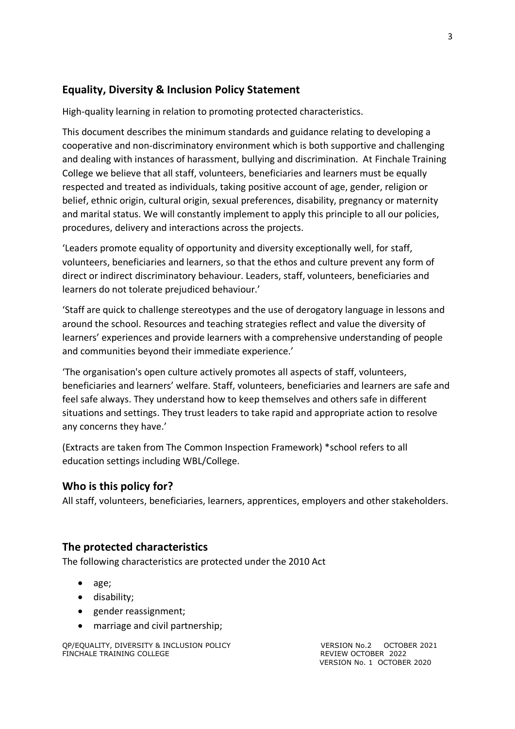# **Equality, Diversity & Inclusion Policy Statement**

High-quality learning in relation to promoting protected characteristics.

This document describes the minimum standards and guidance relating to developing a cooperative and non-discriminatory environment which is both supportive and challenging and dealing with instances of harassment, bullying and discrimination. At Finchale Training College we believe that all staff, volunteers, beneficiaries and learners must be equally respected and treated as individuals, taking positive account of age, gender, religion or belief, ethnic origin, cultural origin, sexual preferences, disability, pregnancy or maternity and marital status. We will constantly implement to apply this principle to all our policies, procedures, delivery and interactions across the projects.

'Leaders promote equality of opportunity and diversity exceptionally well, for staff, volunteers, beneficiaries and learners, so that the ethos and culture prevent any form of direct or indirect discriminatory behaviour. Leaders, staff, volunteers, beneficiaries and learners do not tolerate prejudiced behaviour.'

'Staff are quick to challenge stereotypes and the use of derogatory language in lessons and around the school. Resources and teaching strategies reflect and value the diversity of learners' experiences and provide learners with a comprehensive understanding of people and communities beyond their immediate experience.'

'The organisation's open culture actively promotes all aspects of staff, volunteers, beneficiaries and learners' welfare. Staff, volunteers, beneficiaries and learners are safe and feel safe always. They understand how to keep themselves and others safe in different situations and settings. They trust leaders to take rapid and appropriate action to resolve any concerns they have.'

(Extracts are taken from The Common Inspection Framework) \*school refers to all education settings including WBL/College.

### **Who is this policy for?**

All staff, volunteers, beneficiaries, learners, apprentices, employers and other stakeholders.

### **The protected characteristics**

The following characteristics are protected under the 2010 Act

- age;
- disability;
- gender reassignment;
- marriage and civil partnership;

QP/EQUALITY, DIVERSITY & INCLUSION POLICY VERSION No.2 OCTOBER 2021<br>FINCHALE TRAINING COLLEGE TRAINING COLLEGE FINCHALE TRAINING COLLEGE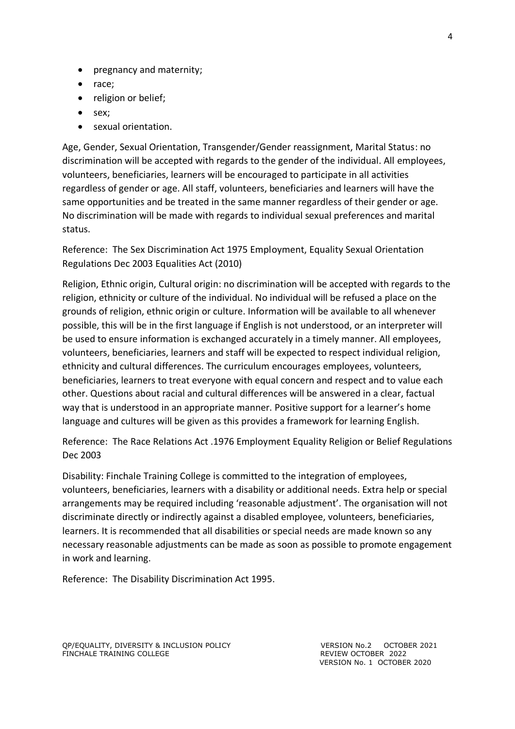- pregnancy and maternity;
- race;
- religion or belief;
- sex;
- sexual orientation.

Age, Gender, Sexual Orientation, Transgender/Gender reassignment, Marital Status: no discrimination will be accepted with regards to the gender of the individual. All employees, volunteers, beneficiaries, learners will be encouraged to participate in all activities regardless of gender or age. All staff, volunteers, beneficiaries and learners will have the same opportunities and be treated in the same manner regardless of their gender or age. No discrimination will be made with regards to individual sexual preferences and marital status.

Reference: The Sex Discrimination Act 1975 Employment, Equality Sexual Orientation Regulations Dec 2003 Equalities Act (2010)

Religion, Ethnic origin, Cultural origin: no discrimination will be accepted with regards to the religion, ethnicity or culture of the individual. No individual will be refused a place on the grounds of religion, ethnic origin or culture. Information will be available to all whenever possible, this will be in the first language if English is not understood, or an interpreter will be used to ensure information is exchanged accurately in a timely manner. All employees, volunteers, beneficiaries, learners and staff will be expected to respect individual religion, ethnicity and cultural differences. The curriculum encourages employees, volunteers, beneficiaries, learners to treat everyone with equal concern and respect and to value each other. Questions about racial and cultural differences will be answered in a clear, factual way that is understood in an appropriate manner. Positive support for a learner's home language and cultures will be given as this provides a framework for learning English.

Reference: The Race Relations Act .1976 Employment Equality Religion or Belief Regulations Dec 2003

Disability: Finchale Training College is committed to the integration of employees, volunteers, beneficiaries, learners with a disability or additional needs. Extra help or special arrangements may be required including 'reasonable adjustment'. The organisation will not discriminate directly or indirectly against a disabled employee, volunteers, beneficiaries, learners. It is recommended that all disabilities or special needs are made known so any necessary reasonable adjustments can be made as soon as possible to promote engagement in work and learning.

Reference: The Disability Discrimination Act 1995.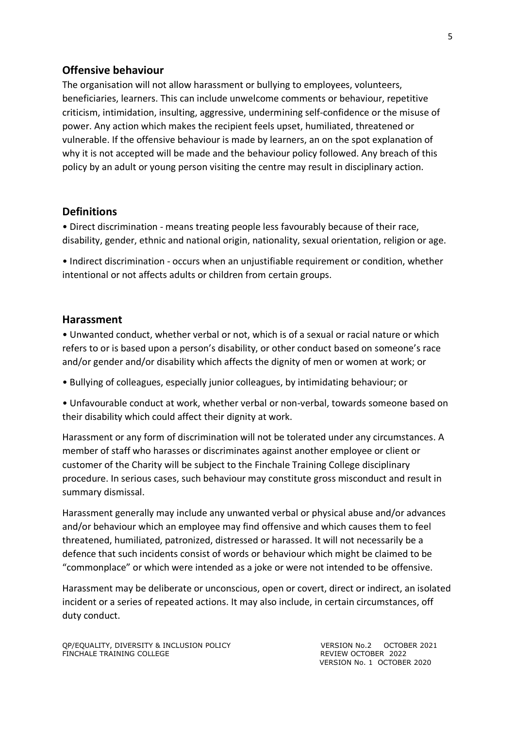#### **Offensive behaviour**

The organisation will not allow harassment or bullying to employees, volunteers, beneficiaries, learners. This can include unwelcome comments or behaviour, repetitive criticism, intimidation, insulting, aggressive, undermining self-confidence or the misuse of power. Any action which makes the recipient feels upset, humiliated, threatened or vulnerable. If the offensive behaviour is made by learners, an on the spot explanation of why it is not accepted will be made and the behaviour policy followed. Any breach of this policy by an adult or young person visiting the centre may result in disciplinary action.

#### **Definitions**

• Direct discrimination - means treating people less favourably because of their race, disability, gender, ethnic and national origin, nationality, sexual orientation, religion or age.

• Indirect discrimination - occurs when an unjustifiable requirement or condition, whether intentional or not affects adults or children from certain groups.

#### **Harassment**

• Unwanted conduct, whether verbal or not, which is of a sexual or racial nature or which refers to or is based upon a person's disability, or other conduct based on someone's race and/or gender and/or disability which affects the dignity of men or women at work; or

• Bullying of colleagues, especially junior colleagues, by intimidating behaviour; or

• Unfavourable conduct at work, whether verbal or non-verbal, towards someone based on their disability which could affect their dignity at work.

Harassment or any form of discrimination will not be tolerated under any circumstances. A member of staff who harasses or discriminates against another employee or client or customer of the Charity will be subject to the Finchale Training College disciplinary procedure. In serious cases, such behaviour may constitute gross misconduct and result in summary dismissal.

Harassment generally may include any unwanted verbal or physical abuse and/or advances and/or behaviour which an employee may find offensive and which causes them to feel threatened, humiliated, patronized, distressed or harassed. It will not necessarily be a defence that such incidents consist of words or behaviour which might be claimed to be "commonplace" or which were intended as a joke or were not intended to be offensive.

Harassment may be deliberate or unconscious, open or covert, direct or indirect, an isolated incident or a series of repeated actions. It may also include, in certain circumstances, off duty conduct.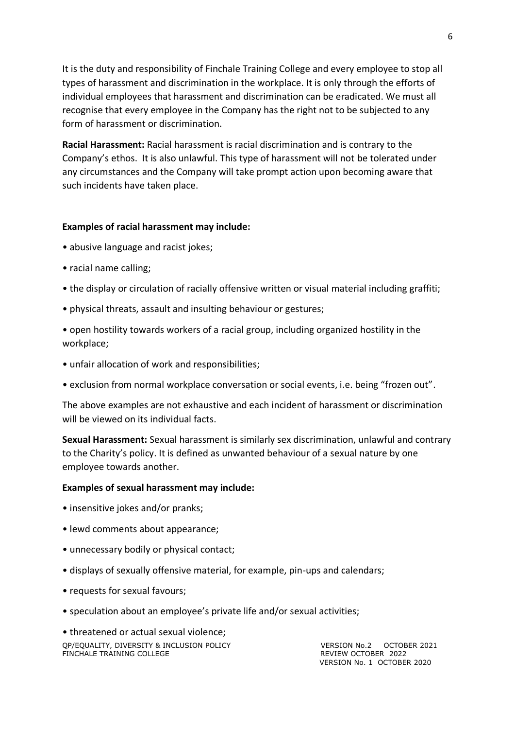It is the duty and responsibility of Finchale Training College and every employee to stop all types of harassment and discrimination in the workplace. It is only through the efforts of individual employees that harassment and discrimination can be eradicated. We must all recognise that every employee in the Company has the right not to be subjected to any form of harassment or discrimination.

**Racial Harassment:** Racial harassment is racial discrimination and is contrary to the Company's ethos. It is also unlawful. This type of harassment will not be tolerated under any circumstances and the Company will take prompt action upon becoming aware that such incidents have taken place.

#### **Examples of racial harassment may include:**

- abusive language and racist jokes;
- racial name calling;
- the display or circulation of racially offensive written or visual material including graffiti;
- physical threats, assault and insulting behaviour or gestures;
- open hostility towards workers of a racial group, including organized hostility in the workplace;
- unfair allocation of work and responsibilities;
- exclusion from normal workplace conversation or social events, i.e. being "frozen out".

The above examples are not exhaustive and each incident of harassment or discrimination will be viewed on its individual facts.

**Sexual Harassment:** Sexual harassment is similarly sex discrimination, unlawful and contrary to the Charity's policy. It is defined as unwanted behaviour of a sexual nature by one employee towards another.

#### **Examples of sexual harassment may include:**

- insensitive jokes and/or pranks;
- lewd comments about appearance;
- unnecessary bodily or physical contact;
- displays of sexually offensive material, for example, pin-ups and calendars;
- requests for sexual favours;
- speculation about an employee's private life and/or sexual activities;

QP/EQUALITY, DIVERSITY & INCLUSION POLICY VERSION No.2 OCTOBER 2021<br>FINCHALE TRAINING COLLEGE TRAINING AND REVIEW OCTOBER 2022 FINCHALE TRAINING COLLEGE • threatened or actual sexual violence;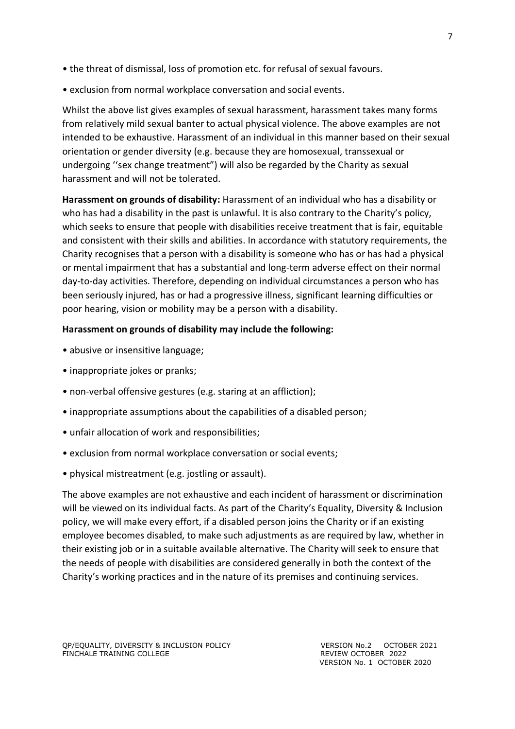- the threat of dismissal, loss of promotion etc. for refusal of sexual favours.
- exclusion from normal workplace conversation and social events.

Whilst the above list gives examples of sexual harassment, harassment takes many forms from relatively mild sexual banter to actual physical violence. The above examples are not intended to be exhaustive. Harassment of an individual in this manner based on their sexual orientation or gender diversity (e.g. because they are homosexual, transsexual or undergoing ''sex change treatment") will also be regarded by the Charity as sexual harassment and will not be tolerated.

**Harassment on grounds of disability:** Harassment of an individual who has a disability or who has had a disability in the past is unlawful. It is also contrary to the Charity's policy, which seeks to ensure that people with disabilities receive treatment that is fair, equitable and consistent with their skills and abilities. In accordance with statutory requirements, the Charity recognises that a person with a disability is someone who has or has had a physical or mental impairment that has a substantial and long-term adverse effect on their normal day-to-day activities. Therefore, depending on individual circumstances a person who has been seriously injured, has or had a progressive illness, significant learning difficulties or poor hearing, vision or mobility may be a person with a disability.

### **Harassment on grounds of disability may include the following:**

- abusive or insensitive language;
- inappropriate jokes or pranks;
- non-verbal offensive gestures (e.g. staring at an affliction);
- inappropriate assumptions about the capabilities of a disabled person;
- unfair allocation of work and responsibilities;
- exclusion from normal workplace conversation or social events;
- physical mistreatment (e.g. jostling or assault).

The above examples are not exhaustive and each incident of harassment or discrimination will be viewed on its individual facts. As part of the Charity's Equality, Diversity & Inclusion policy, we will make every effort, if a disabled person joins the Charity or if an existing employee becomes disabled, to make such adjustments as are required by law, whether in their existing job or in a suitable available alternative. The Charity will seek to ensure that the needs of people with disabilities are considered generally in both the context of the Charity's working practices and in the nature of its premises and continuing services.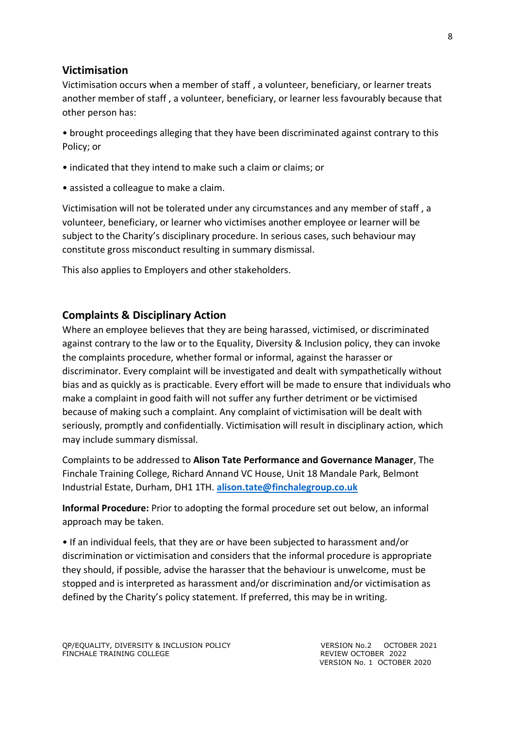### **Victimisation**

Victimisation occurs when a member of staff , a volunteer, beneficiary, or learner treats another member of staff , a volunteer, beneficiary, or learner less favourably because that other person has:

• brought proceedings alleging that they have been discriminated against contrary to this Policy; or

- indicated that they intend to make such a claim or claims; or
- assisted a colleague to make a claim.

Victimisation will not be tolerated under any circumstances and any member of staff , a volunteer, beneficiary, or learner who victimises another employee or learner will be subject to the Charity's disciplinary procedure. In serious cases, such behaviour may constitute gross misconduct resulting in summary dismissal.

This also applies to Employers and other stakeholders.

# **Complaints & Disciplinary Action**

Where an employee believes that they are being harassed, victimised, or discriminated against contrary to the law or to the Equality, Diversity & Inclusion policy, they can invoke the complaints procedure, whether formal or informal, against the harasser or discriminator. Every complaint will be investigated and dealt with sympathetically without bias and as quickly as is practicable. Every effort will be made to ensure that individuals who make a complaint in good faith will not suffer any further detriment or be victimised because of making such a complaint. Any complaint of victimisation will be dealt with seriously, promptly and confidentially. Victimisation will result in disciplinary action, which may include summary dismissal.

Complaints to be addressed to **Alison Tate Performance and Governance Manager**, The Finchale Training College, Richard Annand VC House, Unit 18 Mandale Park, Belmont Industrial Estate, Durham, DH1 1TH. **[alison.tate@finchalegroup.co.uk](mailto:alison.tate@finchalegroup.co.uk)**

**Informal Procedure:** Prior to adopting the formal procedure set out below, an informal approach may be taken.

• If an individual feels, that they are or have been subjected to harassment and/or discrimination or victimisation and considers that the informal procedure is appropriate they should, if possible, advise the harasser that the behaviour is unwelcome, must be stopped and is interpreted as harassment and/or discrimination and/or victimisation as defined by the Charity's policy statement. If preferred, this may be in writing.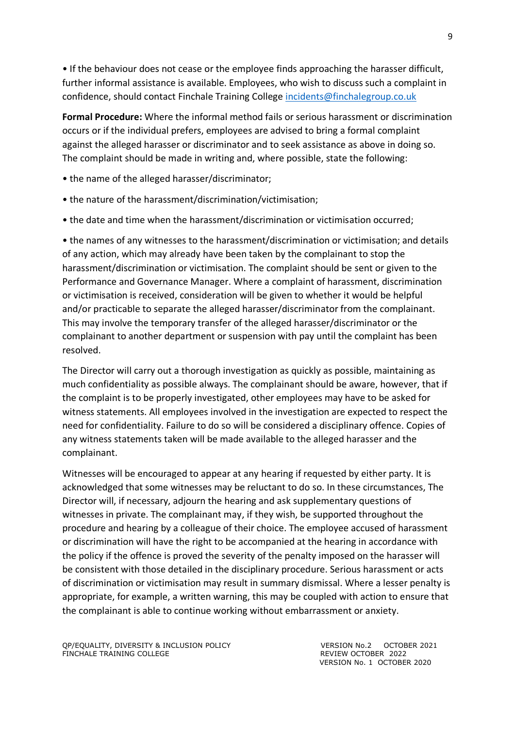• If the behaviour does not cease or the employee finds approaching the harasser difficult, further informal assistance is available. Employees, who wish to discuss such a complaint in confidence, should contact Finchale Training College [incidents@finchalegroup.co.uk](mailto:incidents@finchalegroup.co.uk)

**Formal Procedure:** Where the informal method fails or serious harassment or discrimination occurs or if the individual prefers, employees are advised to bring a formal complaint against the alleged harasser or discriminator and to seek assistance as above in doing so. The complaint should be made in writing and, where possible, state the following:

- the name of the alleged harasser/discriminator;
- the nature of the harassment/discrimination/victimisation;
- the date and time when the harassment/discrimination or victimisation occurred;

• the names of any witnesses to the harassment/discrimination or victimisation; and details of any action, which may already have been taken by the complainant to stop the harassment/discrimination or victimisation. The complaint should be sent or given to the Performance and Governance Manager. Where a complaint of harassment, discrimination or victimisation is received, consideration will be given to whether it would be helpful and/or practicable to separate the alleged harasser/discriminator from the complainant. This may involve the temporary transfer of the alleged harasser/discriminator or the complainant to another department or suspension with pay until the complaint has been resolved.

The Director will carry out a thorough investigation as quickly as possible, maintaining as much confidentiality as possible always. The complainant should be aware, however, that if the complaint is to be properly investigated, other employees may have to be asked for witness statements. All employees involved in the investigation are expected to respect the need for confidentiality. Failure to do so will be considered a disciplinary offence. Copies of any witness statements taken will be made available to the alleged harasser and the complainant.

Witnesses will be encouraged to appear at any hearing if requested by either party. It is acknowledged that some witnesses may be reluctant to do so. In these circumstances, The Director will, if necessary, adjourn the hearing and ask supplementary questions of witnesses in private. The complainant may, if they wish, be supported throughout the procedure and hearing by a colleague of their choice. The employee accused of harassment or discrimination will have the right to be accompanied at the hearing in accordance with the policy if the offence is proved the severity of the penalty imposed on the harasser will be consistent with those detailed in the disciplinary procedure. Serious harassment or acts of discrimination or victimisation may result in summary dismissal. Where a lesser penalty is appropriate, for example, a written warning, this may be coupled with action to ensure that the complainant is able to continue working without embarrassment or anxiety.

QP/EQUALITY, DIVERSITY & INCLUSION POLICY VERSION No.2 OCTOBER 2021<br>FINCHALE TRAINING COLLEGE TRAINING COLLEGE FINCHALE TRAINING COLLEGE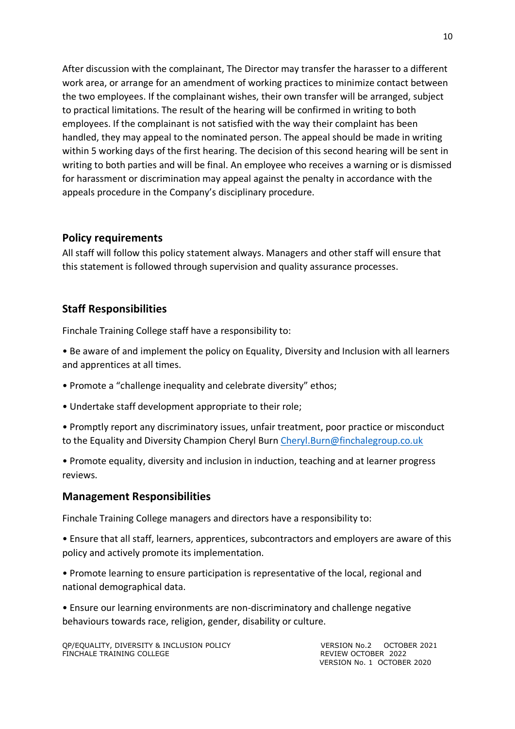After discussion with the complainant, The Director may transfer the harasser to a different work area, or arrange for an amendment of working practices to minimize contact between the two employees. If the complainant wishes, their own transfer will be arranged, subject to practical limitations. The result of the hearing will be confirmed in writing to both employees. If the complainant is not satisfied with the way their complaint has been handled, they may appeal to the nominated person. The appeal should be made in writing within 5 working days of the first hearing. The decision of this second hearing will be sent in writing to both parties and will be final. An employee who receives a warning or is dismissed for harassment or discrimination may appeal against the penalty in accordance with the appeals procedure in the Company's disciplinary procedure.

### **Policy requirements**

All staff will follow this policy statement always. Managers and other staff will ensure that this statement is followed through supervision and quality assurance processes.

### **Staff Responsibilities**

Finchale Training College staff have a responsibility to:

- Be aware of and implement the policy on Equality, Diversity and Inclusion with all learners and apprentices at all times.
- Promote a "challenge inequality and celebrate diversity" ethos;
- Undertake staff development appropriate to their role;
- Promptly report any discriminatory issues, unfair treatment, poor practice or misconduct to the Equality and Diversity Champion Cheryl Burn [Cheryl.Burn@finchalegroup.co.uk](mailto:Cheryl.Burn@finchalegroup.co.uk)
- Promote equality, diversity and inclusion in induction, teaching and at learner progress reviews.

#### **Management Responsibilities**

Finchale Training College managers and directors have a responsibility to:

• Ensure that all staff, learners, apprentices, subcontractors and employers are aware of this policy and actively promote its implementation.

• Promote learning to ensure participation is representative of the local, regional and national demographical data.

• Ensure our learning environments are non-discriminatory and challenge negative behaviours towards race, religion, gender, disability or culture.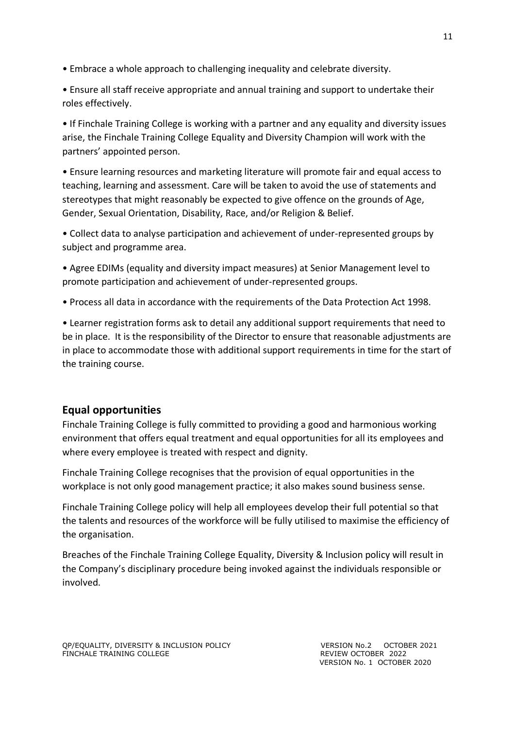- Embrace a whole approach to challenging inequality and celebrate diversity.
- Ensure all staff receive appropriate and annual training and support to undertake their roles effectively.

• If Finchale Training College is working with a partner and any equality and diversity issues arise, the Finchale Training College Equality and Diversity Champion will work with the partners' appointed person.

• Ensure learning resources and marketing literature will promote fair and equal access to teaching, learning and assessment. Care will be taken to avoid the use of statements and stereotypes that might reasonably be expected to give offence on the grounds of Age, Gender, Sexual Orientation, Disability, Race, and/or Religion & Belief.

• Collect data to analyse participation and achievement of under-represented groups by subject and programme area.

• Agree EDIMs (equality and diversity impact measures) at Senior Management level to promote participation and achievement of under-represented groups.

• Process all data in accordance with the requirements of the Data Protection Act 1998.

• Learner registration forms ask to detail any additional support requirements that need to be in place. It is the responsibility of the Director to ensure that reasonable adjustments are in place to accommodate those with additional support requirements in time for the start of the training course.

# **Equal opportunities**

Finchale Training College is fully committed to providing a good and harmonious working environment that offers equal treatment and equal opportunities for all its employees and where every employee is treated with respect and dignity.

Finchale Training College recognises that the provision of equal opportunities in the workplace is not only good management practice; it also makes sound business sense.

Finchale Training College policy will help all employees develop their full potential so that the talents and resources of the workforce will be fully utilised to maximise the efficiency of the organisation.

Breaches of the Finchale Training College Equality, Diversity & Inclusion policy will result in the Company's disciplinary procedure being invoked against the individuals responsible or involved.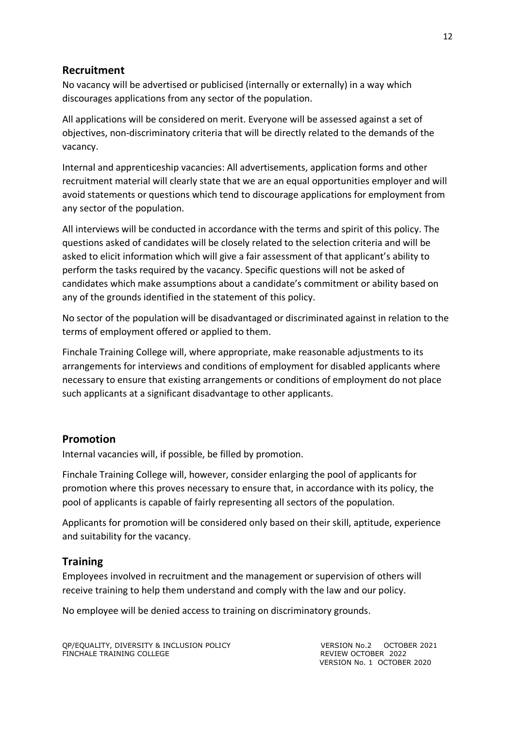### **Recruitment**

No vacancy will be advertised or publicised (internally or externally) in a way which discourages applications from any sector of the population.

All applications will be considered on merit. Everyone will be assessed against a set of objectives, non-discriminatory criteria that will be directly related to the demands of the vacancy.

Internal and apprenticeship vacancies: All advertisements, application forms and other recruitment material will clearly state that we are an equal opportunities employer and will avoid statements or questions which tend to discourage applications for employment from any sector of the population.

All interviews will be conducted in accordance with the terms and spirit of this policy. The questions asked of candidates will be closely related to the selection criteria and will be asked to elicit information which will give a fair assessment of that applicant's ability to perform the tasks required by the vacancy. Specific questions will not be asked of candidates which make assumptions about a candidate's commitment or ability based on any of the grounds identified in the statement of this policy.

No sector of the population will be disadvantaged or discriminated against in relation to the terms of employment offered or applied to them.

Finchale Training College will, where appropriate, make reasonable adjustments to its arrangements for interviews and conditions of employment for disabled applicants where necessary to ensure that existing arrangements or conditions of employment do not place such applicants at a significant disadvantage to other applicants.

#### **Promotion**

Internal vacancies will, if possible, be filled by promotion.

Finchale Training College will, however, consider enlarging the pool of applicants for promotion where this proves necessary to ensure that, in accordance with its policy, the pool of applicants is capable of fairly representing all sectors of the population.

Applicants for promotion will be considered only based on their skill, aptitude, experience and suitability for the vacancy.

#### **Training**

Employees involved in recruitment and the management or supervision of others will receive training to help them understand and comply with the law and our policy.

No employee will be denied access to training on discriminatory grounds.